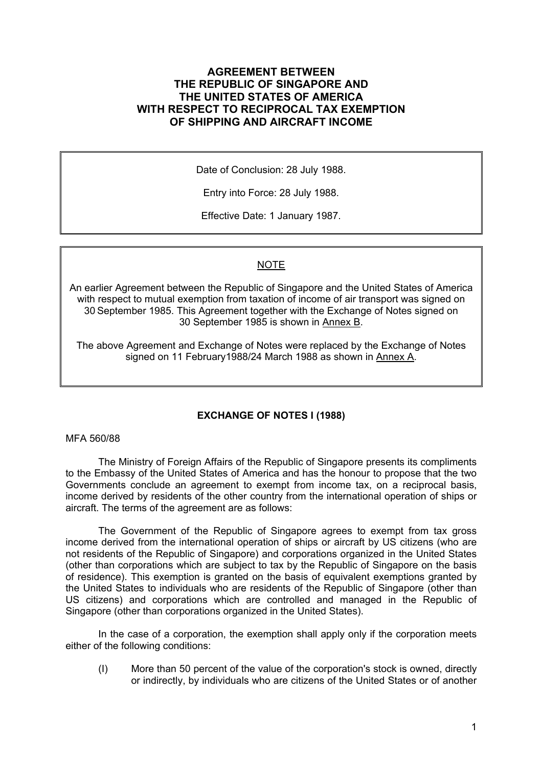## **AGREEMENT BETWEEN THE REPUBLIC OF SINGAPORE AND THE UNITED STATES OF AMERICA WITH RESPECT TO RECIPROCAL TAX EXEMPTION OF SHIPPING AND AIRCRAFT INCOME**

Date of Conclusion: 28 July 1988.

Entry into Force: 28 July 1988.

Effective Date: 1 January 1987.

## NOTE

An earlier Agreement between the Republic of Singapore and the United States of America with respect to mutual exemption from taxation of income of air transport was signed on 30 September 1985. This Agreement together with the Exchange of Notes signed on 30 September 1985 is shown in Annex B.

The above Agreement and Exchange of Notes were replaced by the Exchange of Notes signed on 11 February1988/24 March 1988 as shown in Annex A.

## **EXCHANGE OF NOTES I (1988)**

#### MFA 560/88

The Ministry of Foreign Affairs of the Republic of Singapore presents its compliments to the Embassy of the United States of America and has the honour to propose that the two Governments conclude an agreement to exempt from income tax, on a reciprocal basis, income derived by residents of the other country from the international operation of ships or aircraft. The terms of the agreement are as follows:

The Government of the Republic of Singapore agrees to exempt from tax gross income derived from the international operation of ships or aircraft by US citizens (who are not residents of the Republic of Singapore) and corporations organized in the United States (other than corporations which are subject to tax by the Republic of Singapore on the basis of residence). This exemption is granted on the basis of equivalent exemptions granted by the United States to individuals who are residents of the Republic of Singapore (other than US citizens) and corporations which are controlled and managed in the Republic of Singapore (other than corporations organized in the United States).

In the case of a corporation, the exemption shall apply only if the corporation meets either of the following conditions:

(I) More than 50 percent of the value of the corporation's stock is owned, directly or indirectly, by individuals who are citizens of the United States or of another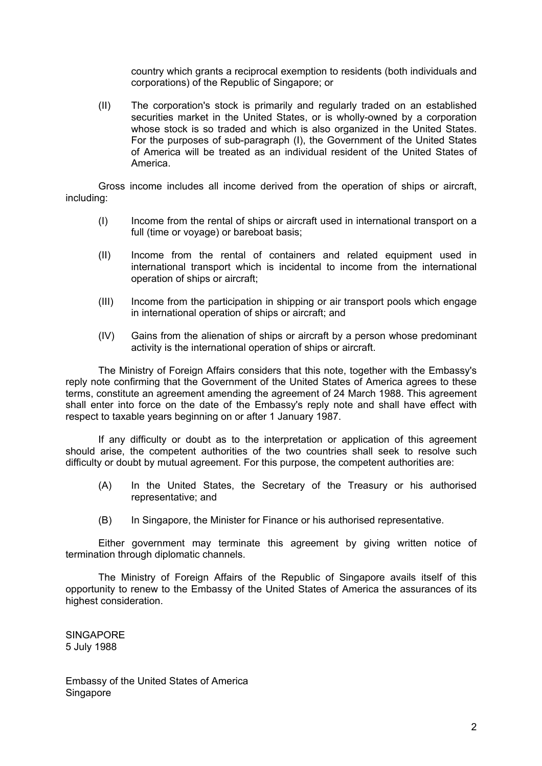country which grants a reciprocal exemption to residents (both individuals and corporations) of the Republic of Singapore; or

(II) The corporation's stock is primarily and regularly traded on an established securities market in the United States, or is wholly-owned by a corporation whose stock is so traded and which is also organized in the United States. For the purposes of sub-paragraph (I), the Government of the United States of America will be treated as an individual resident of the United States of America.

Gross income includes all income derived from the operation of ships or aircraft, including:

- (I) Income from the rental of ships or aircraft used in international transport on a full (time or voyage) or bareboat basis;
- (II) Income from the rental of containers and related equipment used in international transport which is incidental to income from the international operation of ships or aircraft;
- (III) Income from the participation in shipping or air transport pools which engage in international operation of ships or aircraft; and
- (IV) Gains from the alienation of ships or aircraft by a person whose predominant activity is the international operation of ships or aircraft.

The Ministry of Foreign Affairs considers that this note, together with the Embassy's reply note confirming that the Government of the United States of America agrees to these terms, constitute an agreement amending the agreement of 24 March 1988. This agreement shall enter into force on the date of the Embassy's reply note and shall have effect with respect to taxable years beginning on or after 1 January 1987.

If any difficulty or doubt as to the interpretation or application of this agreement should arise, the competent authorities of the two countries shall seek to resolve such difficulty or doubt by mutual agreement. For this purpose, the competent authorities are:

- (A) In the United States, the Secretary of the Treasury or his authorised representative; and
- (B) In Singapore, the Minister for Finance or his authorised representative.

Either government may terminate this agreement by giving written notice of termination through diplomatic channels.

The Ministry of Foreign Affairs of the Republic of Singapore avails itself of this opportunity to renew to the Embassy of the United States of America the assurances of its highest consideration.

**SINGAPORE** 5 July 1988

Embassy of the United States of America Singapore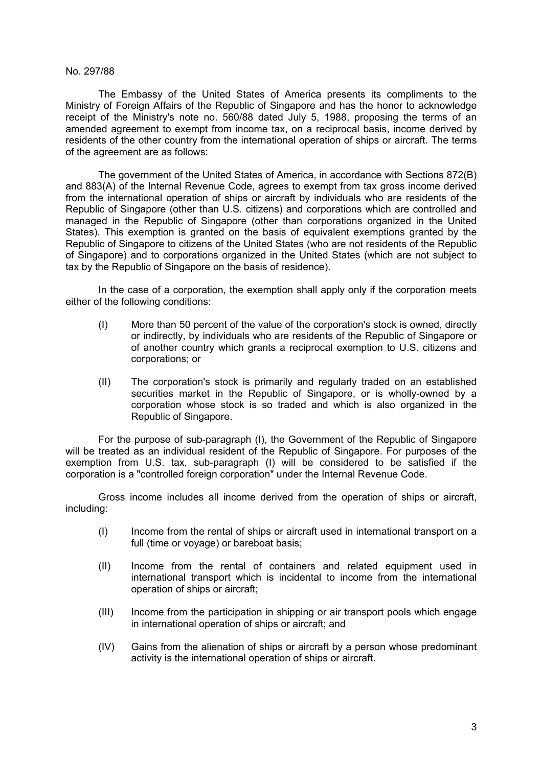#### No. 297/88

The Embassy of the United States of America presents its compliments to the Ministry of Foreign Affairs of the Republic of Singapore and has the honor to acknowledge receipt of the Ministry's note no. 560/88 dated July 5, 1988, proposing the terms of an amended agreement to exempt from income tax, on a reciprocal basis, income derived by residents of the other country from the international operation of ships or aircraft. The terms of the agreement are as follows:

The government of the United States of America, in accordance with Sections 872(B) and 883(A) of the Internal Revenue Code, agrees to exempt from tax gross income derived from the international operation of ships or aircraft by individuals who are residents of the Republic of Singapore (other than U.S. citizens) and corporations which are controlled and managed in the Republic of Singapore (other than corporations organized in the United States). This exemption is granted on the basis of equivalent exemptions granted by the Republic of Singapore to citizens of the United States (who are not residents of the Republic of Singapore) and to corporations organized in the United States (which are not subject to tax by the Republic of Singapore on the basis of residence).

In the case of a corporation, the exemption shall apply only if the corporation meets either of the following conditions:

- (I) More than 50 percent of the value of the corporation's stock is owned, directly or indirectly, by individuals who are residents of the Republic of Singapore or of another country which grants a reciprocal exemption to U.S. citizens and corporations; or
- (II) The corporation's stock is primarily and regularly traded on an established securities market in the Republic of Singapore, or is wholly-owned by a corporation whose stock is so traded and which is also organized in the Republic of Singapore.

For the purpose of sub-paragraph (I), the Government of the Republic of Singapore will be treated as an individual resident of the Republic of Singapore. For purposes of the exemption from U.S. tax, sub-paragraph (I) will be considered to be satisfied if the corporation is a "controlled foreign corporation" under the Internal Revenue Code.

Gross income includes all income derived from the operation of ships or aircraft, including:

- (I) Income from the rental of ships or aircraft used in international transport on a full (time or voyage) or bareboat basis;
- (II) Income from the rental of containers and related equipment used in international transport which is incidental to income from the international operation of ships or aircraft;
- (III) Income from the participation in shipping or air transport pools which engage in international operation of ships or aircraft; and
- (IV) Gains from the alienation of ships or aircraft by a person whose predominant activity is the international operation of ships or aircraft.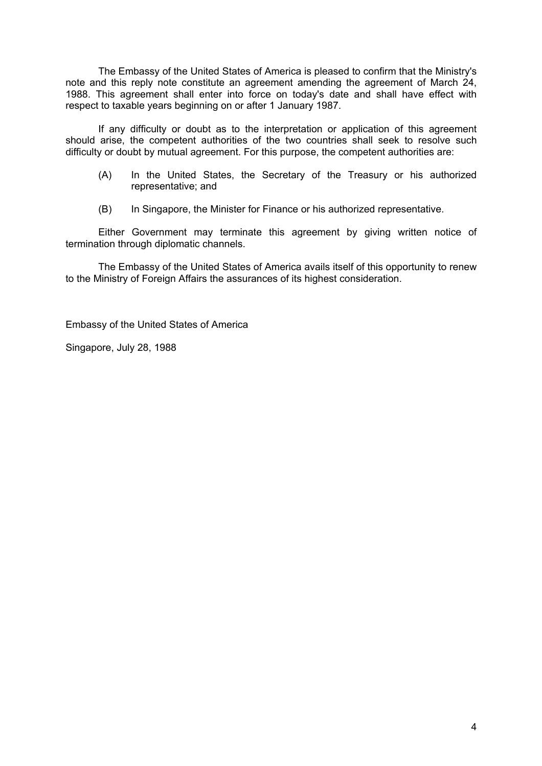The Embassy of the United States of America is pleased to confirm that the Ministry's note and this reply note constitute an agreement amending the agreement of March 24, 1988. This agreement shall enter into force on today's date and shall have effect with respect to taxable years beginning on or after 1 January 1987.

If any difficulty or doubt as to the interpretation or application of this agreement should arise, the competent authorities of the two countries shall seek to resolve such difficulty or doubt by mutual agreement. For this purpose, the competent authorities are:

- (A) In the United States, the Secretary of the Treasury or his authorized representative; and
- (B) In Singapore, the Minister for Finance or his authorized representative.

Either Government may terminate this agreement by giving written notice of termination through diplomatic channels.

The Embassy of the United States of America avails itself of this opportunity to renew to the Ministry of Foreign Affairs the assurances of its highest consideration.

Embassy of the United States of America

Singapore, July 28, 1988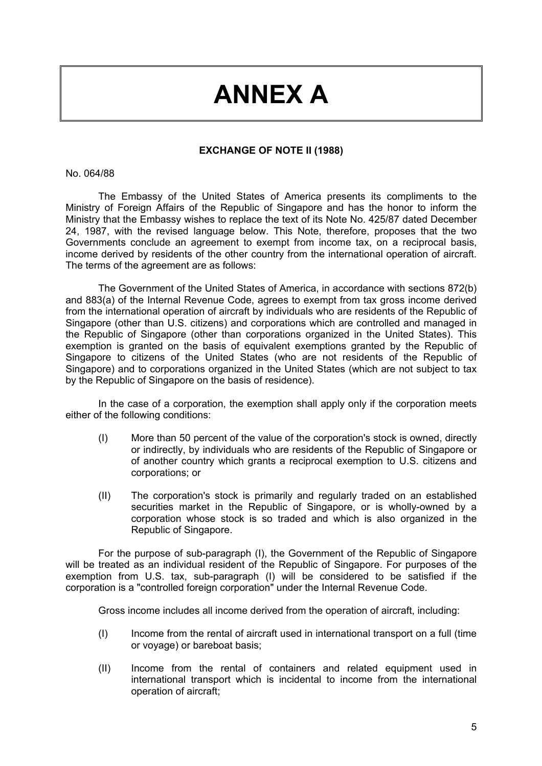## **ANNEX A**

### **EXCHANGE OF NOTE II (1988)**

#### No. 064/88

The Embassy of the United States of America presents its compliments to the Ministry of Foreign Affairs of the Republic of Singapore and has the honor to inform the Ministry that the Embassy wishes to replace the text of its Note No. 425/87 dated December 24, 1987, with the revised language below. This Note, therefore, proposes that the two Governments conclude an agreement to exempt from income tax, on a reciprocal basis, income derived by residents of the other country from the international operation of aircraft. The terms of the agreement are as follows:

The Government of the United States of America, in accordance with sections 872(b) and 883(a) of the Internal Revenue Code, agrees to exempt from tax gross income derived from the international operation of aircraft by individuals who are residents of the Republic of Singapore (other than U.S. citizens) and corporations which are controlled and managed in the Republic of Singapore (other than corporations organized in the United States). This exemption is granted on the basis of equivalent exemptions granted by the Republic of Singapore to citizens of the United States (who are not residents of the Republic of Singapore) and to corporations organized in the United States (which are not subject to tax by the Republic of Singapore on the basis of residence).

In the case of a corporation, the exemption shall apply only if the corporation meets either of the following conditions:

- (I) More than 50 percent of the value of the corporation's stock is owned, directly or indirectly, by individuals who are residents of the Republic of Singapore or of another country which grants a reciprocal exemption to U.S. citizens and corporations; or
- (II) The corporation's stock is primarily and regularly traded on an established securities market in the Republic of Singapore, or is wholly-owned by a corporation whose stock is so traded and which is also organized in the Republic of Singapore.

For the purpose of sub-paragraph (I), the Government of the Republic of Singapore will be treated as an individual resident of the Republic of Singapore. For purposes of the exemption from U.S. tax, sub-paragraph (I) will be considered to be satisfied if the corporation is a "controlled foreign corporation" under the Internal Revenue Code.

Gross income includes all income derived from the operation of aircraft, including:

- (I) Income from the rental of aircraft used in international transport on a full (time or voyage) or bareboat basis;
- (II) Income from the rental of containers and related equipment used in international transport which is incidental to income from the international operation of aircraft;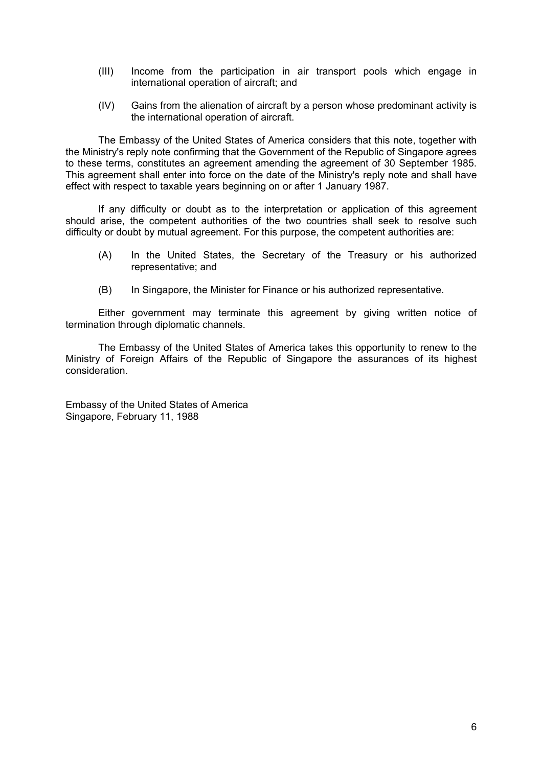- (III) Income from the participation in air transport pools which engage in international operation of aircraft; and
- (IV) Gains from the alienation of aircraft by a person whose predominant activity is the international operation of aircraft.

The Embassy of the United States of America considers that this note, together with the Ministry's reply note confirming that the Government of the Republic of Singapore agrees to these terms, constitutes an agreement amending the agreement of 30 September 1985. This agreement shall enter into force on the date of the Ministry's reply note and shall have effect with respect to taxable years beginning on or after 1 January 1987.

If any difficulty or doubt as to the interpretation or application of this agreement should arise, the competent authorities of the two countries shall seek to resolve such difficulty or doubt by mutual agreement. For this purpose, the competent authorities are:

- (A) In the United States, the Secretary of the Treasury or his authorized representative; and
- (B) In Singapore, the Minister for Finance or his authorized representative.

Either government may terminate this agreement by giving written notice of termination through diplomatic channels.

The Embassy of the United States of America takes this opportunity to renew to the Ministry of Foreign Affairs of the Republic of Singapore the assurances of its highest consideration.

Embassy of the United States of America Singapore, February 11, 1988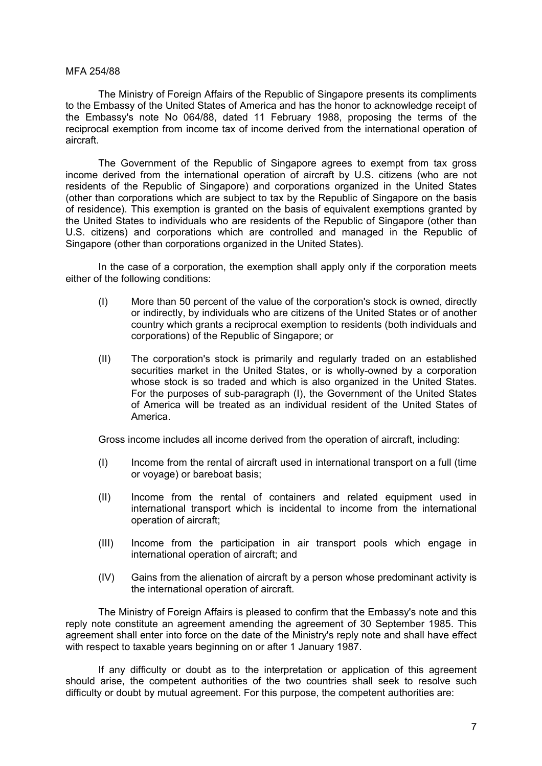#### MFA 254/88

The Ministry of Foreign Affairs of the Republic of Singapore presents its compliments to the Embassy of the United States of America and has the honor to acknowledge receipt of the Embassy's note No 064/88, dated 11 February 1988, proposing the terms of the reciprocal exemption from income tax of income derived from the international operation of aircraft.

The Government of the Republic of Singapore agrees to exempt from tax gross income derived from the international operation of aircraft by U.S. citizens (who are not residents of the Republic of Singapore) and corporations organized in the United States (other than corporations which are subject to tax by the Republic of Singapore on the basis of residence). This exemption is granted on the basis of equivalent exemptions granted by the United States to individuals who are residents of the Republic of Singapore (other than U.S. citizens) and corporations which are controlled and managed in the Republic of Singapore (other than corporations organized in the United States).

In the case of a corporation, the exemption shall apply only if the corporation meets either of the following conditions:

- (I) More than 50 percent of the value of the corporation's stock is owned, directly or indirectly, by individuals who are citizens of the United States or of another country which grants a reciprocal exemption to residents (both individuals and corporations) of the Republic of Singapore; or
- (II) The corporation's stock is primarily and regularly traded on an established securities market in the United States, or is wholly-owned by a corporation whose stock is so traded and which is also organized in the United States. For the purposes of sub-paragraph (I), the Government of the United States of America will be treated as an individual resident of the United States of America.

Gross income includes all income derived from the operation of aircraft, including:

- (I) Income from the rental of aircraft used in international transport on a full (time or voyage) or bareboat basis;
- (II) Income from the rental of containers and related equipment used in international transport which is incidental to income from the international operation of aircraft;
- (III) Income from the participation in air transport pools which engage in international operation of aircraft; and
- (IV) Gains from the alienation of aircraft by a person whose predominant activity is the international operation of aircraft.

The Ministry of Foreign Affairs is pleased to confirm that the Embassy's note and this reply note constitute an agreement amending the agreement of 30 September 1985. This agreement shall enter into force on the date of the Ministry's reply note and shall have effect with respect to taxable years beginning on or after 1 January 1987.

If any difficulty or doubt as to the interpretation or application of this agreement should arise, the competent authorities of the two countries shall seek to resolve such difficulty or doubt by mutual agreement. For this purpose, the competent authorities are: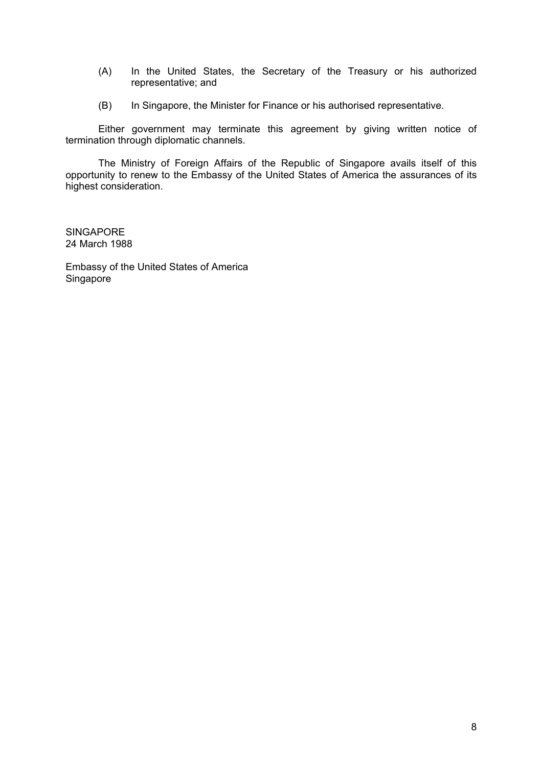- (A) In the United States, the Secretary of the Treasury or his authorized representative; and
- (B) In Singapore, the Minister for Finance or his authorised representative.

Either government may terminate this agreement by giving written notice of termination through diplomatic channels.

The Ministry of Foreign Affairs of the Republic of Singapore avails itself of this opportunity to renew to the Embassy of the United States of America the assurances of its highest consideration.

**SINGAPORE** 24 March 1988

Embassy of the United States of America **Singapore**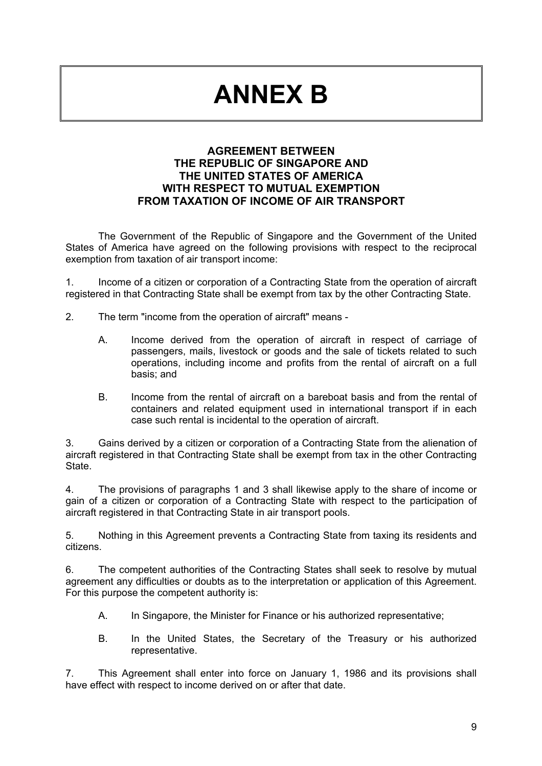# **ANNEX B**

## **AGREEMENT BETWEEN THE REPUBLIC OF SINGAPORE AND THE UNITED STATES OF AMERICA WITH RESPECT TO MUTUAL EXEMPTION FROM TAXATION OF INCOME OF AIR TRANSPORT**

The Government of the Republic of Singapore and the Government of the United States of America have agreed on the following provisions with respect to the reciprocal exemption from taxation of air transport income:

1. Income of a citizen or corporation of a Contracting State from the operation of aircraft registered in that Contracting State shall be exempt from tax by the other Contracting State.

- 2. The term "income from the operation of aircraft" means
	- A. Income derived from the operation of aircraft in respect of carriage of passengers, mails, livestock or goods and the sale of tickets related to such operations, including income and profits from the rental of aircraft on a full basis; and
	- B. Income from the rental of aircraft on a bareboat basis and from the rental of containers and related equipment used in international transport if in each case such rental is incidental to the operation of aircraft.

3. Gains derived by a citizen or corporation of a Contracting State from the alienation of aircraft registered in that Contracting State shall be exempt from tax in the other Contracting State.

4. The provisions of paragraphs 1 and 3 shall likewise apply to the share of income or gain of a citizen or corporation of a Contracting State with respect to the participation of aircraft registered in that Contracting State in air transport pools.

5. Nothing in this Agreement prevents a Contracting State from taxing its residents and citizens.

6. The competent authorities of the Contracting States shall seek to resolve by mutual agreement any difficulties or doubts as to the interpretation or application of this Agreement. For this purpose the competent authority is:

- A. In Singapore, the Minister for Finance or his authorized representative;
- B. In the United States, the Secretary of the Treasury or his authorized representative.

7. This Agreement shall enter into force on January 1, 1986 and its provisions shall have effect with respect to income derived on or after that date.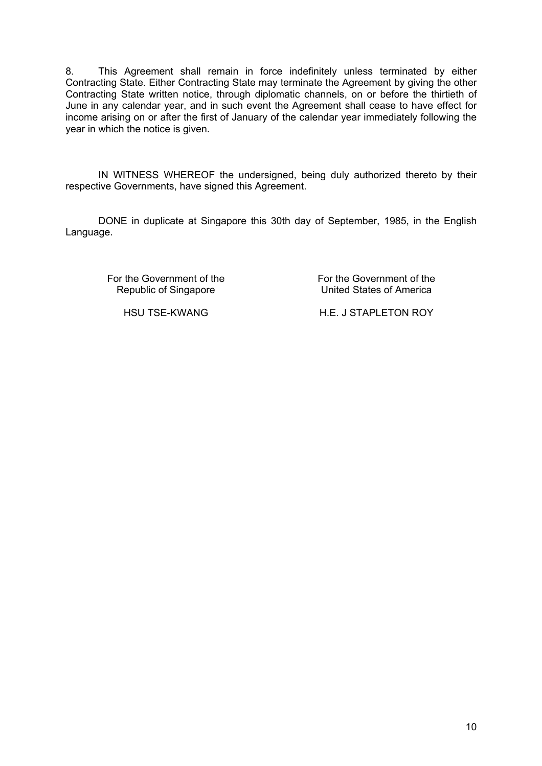8. This Agreement shall remain in force indefinitely unless terminated by either Contracting State. Either Contracting State may terminate the Agreement by giving the other Contracting State written notice, through diplomatic channels, on or before the thirtieth of June in any calendar year, and in such event the Agreement shall cease to have effect for income arising on or after the first of January of the calendar year immediately following the year in which the notice is given.

IN WITNESS WHEREOF the undersigned, being duly authorized thereto by their respective Governments, have signed this Agreement.

DONE in duplicate at Singapore this 30th day of September, 1985, in the English Language.

For the Government of the Republic of Singapore

For the Government of the United States of America

HSU TSE-KWANG H.E. J STAPLETON ROY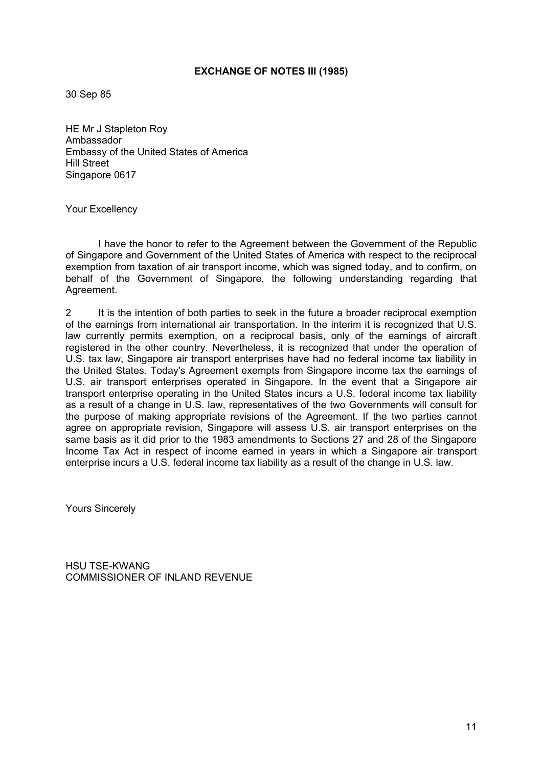#### **EXCHANGE OF NOTES III (1985)**

30 Sep 85

HE Mr J Stapleton Roy Ambassador Embassy of the United States of America Hill Street Singapore 0617

Your Excellency

I have the honor to refer to the Agreement between the Government of the Republic of Singapore and Government of the United States of America with respect to the reciprocal exemption from taxation of air transport income, which was signed today, and to confirm, on behalf of the Government of Singapore, the following understanding regarding that Agreement.

2 It is the intention of both parties to seek in the future a broader reciprocal exemption of the earnings from international air transportation. In the interim it is recognized that U.S. law currently permits exemption, on a reciprocal basis, only of the earnings of aircraft registered in the other country. Nevertheless, it is recognized that under the operation of U.S. tax law, Singapore air transport enterprises have had no federal income tax liability in the United States. Today's Agreement exempts from Singapore income tax the earnings of U.S. air transport enterprises operated in Singapore. In the event that a Singapore air transport enterprise operating in the United States incurs a U.S. federal income tax liability as a result of a change in U.S. law, representatives of the two Governments will consult for the purpose of making appropriate revisions of the Agreement. If the two parties cannot agree on appropriate revision, Singapore will assess U.S. air transport enterprises on the same basis as it did prior to the 1983 amendments to Sections 27 and 28 of the Singapore Income Tax Act in respect of income earned in years in which a Singapore air transport enterprise incurs a U.S. federal income tax liability as a result of the change in U.S. law.

Yours Sincerely

HSU TSE-KWANG COMMISSIONER OF INLAND REVENUE